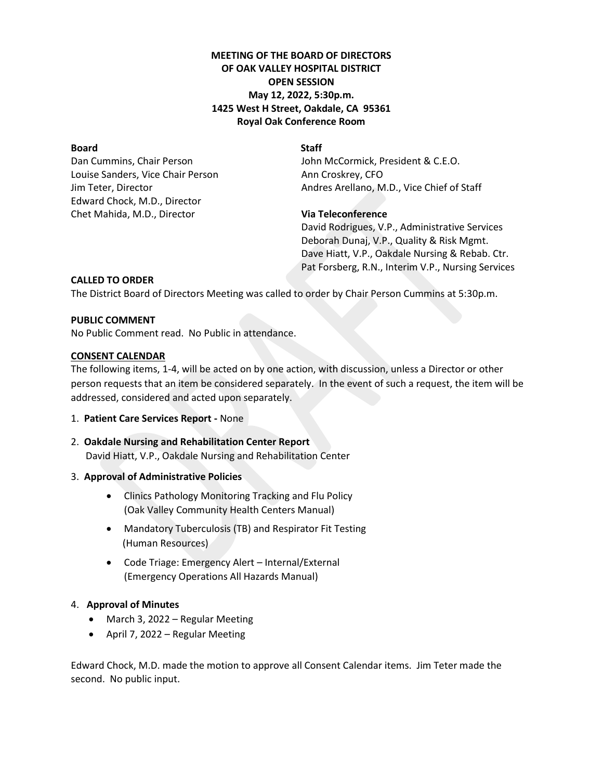# **MEETING OF THE BOARD OF DIRECTORS OF OAK VALLEY HOSPITAL DISTRICT OPEN SESSION May 12, 2022, 5:30p.m. 1425 West H Street, Oakdale, CA 95361 Royal Oak Conference Room**

# **Board** Staff

Louise Sanders, Vice Chair Person Ann Croskrey, CFO Edward Chock, M.D., Director Chet Mahida, M.D., Director **Via Teleconference**

Dan Cummins, Chair Person **John McCormick, President & C.E.O.** Jim Teter, Director Andres Arellano, M.D., Vice Chief of Staff

David Rodrigues, V.P., Administrative Services Deborah Dunaj, V.P., Quality & Risk Mgmt. Dave Hiatt, V.P., Oakdale Nursing & Rebab. Ctr. Pat Forsberg, R.N., Interim V.P., Nursing Services

# **CALLED TO ORDER**

The District Board of Directors Meeting was called to order by Chair Person Cummins at 5:30p.m.

# **PUBLIC COMMENT**

No Public Comment read. No Public in attendance.

# **CONSENT CALENDAR**

The following items, 1-4, will be acted on by one action, with discussion, unless a Director or other person requests that an item be considered separately. In the event of such a request, the item will be addressed, considered and acted upon separately.

- 1. **Patient Care Services Report -** None
- 2. **Oakdale Nursing and Rehabilitation Center Report** David Hiatt, V.P., Oakdale Nursing and Rehabilitation Center

# 3. **Approval of Administrative Policies**

- Clinics Pathology Monitoring Tracking and Flu Policy (Oak Valley Community Health Centers Manual)
- Mandatory Tuberculosis (TB) and Respirator Fit Testing (Human Resources)
- Code Triage: Emergency Alert Internal/External (Emergency Operations All Hazards Manual)

# 4. **Approval of Minutes**

- March 3, 2022 Regular Meeting
- April 7, 2022 Regular Meeting

Edward Chock, M.D. made the motion to approve all Consent Calendar items. Jim Teter made the second. No public input.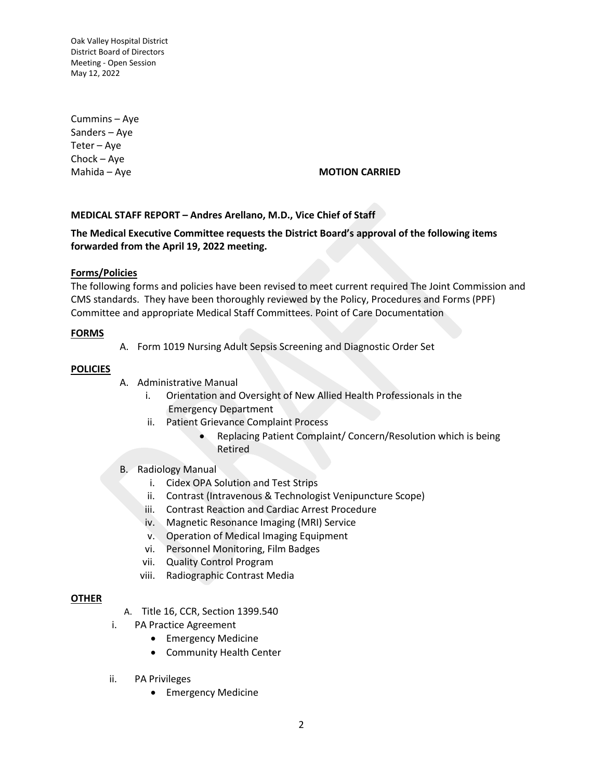Cummins – Aye Sanders – Aye Teter – Aye Chock – Aye

#### Mahida – Aye **MOTION CARRIED**

## **MEDICAL STAFF REPORT – Andres Arellano, M.D., Vice Chief of Staff**

# **The Medical Executive Committee requests the District Board's approval of the following items forwarded from the April 19, 2022 meeting.**

## **Forms/Policies**

The following forms and policies have been revised to meet current required The Joint Commission and CMS standards. They have been thoroughly reviewed by the Policy, Procedures and Forms (PPF) Committee and appropriate Medical Staff Committees. Point of Care Documentation

#### **FORMS**

A. Form 1019 Nursing Adult Sepsis Screening and Diagnostic Order Set

#### **POLICIES**

- A. Administrative Manual
	- i. Orientation and Oversight of New Allied Health Professionals in the Emergency Department
	- ii. Patient Grievance Complaint Process
		- Replacing Patient Complaint/ Concern/Resolution which is being Retired
- B. Radiology Manual
	- i. Cidex OPA Solution and Test Strips
	- ii. Contrast (Intravenous & Technologist Venipuncture Scope)
	- iii. Contrast Reaction and Cardiac Arrest Procedure
	- iv. Magnetic Resonance Imaging (MRI) Service
	- v. Operation of Medical Imaging Equipment
	- vi. Personnel Monitoring, Film Badges
	- vii. Quality Control Program
	- viii. Radiographic Contrast Media

#### **OTHER**

- A. Title 16, CCR, Section 1399.540
- i. PA Practice Agreement
	- Emergency Medicine
	- Community Health Center
- ii. PA Privileges
	- Emergency Medicine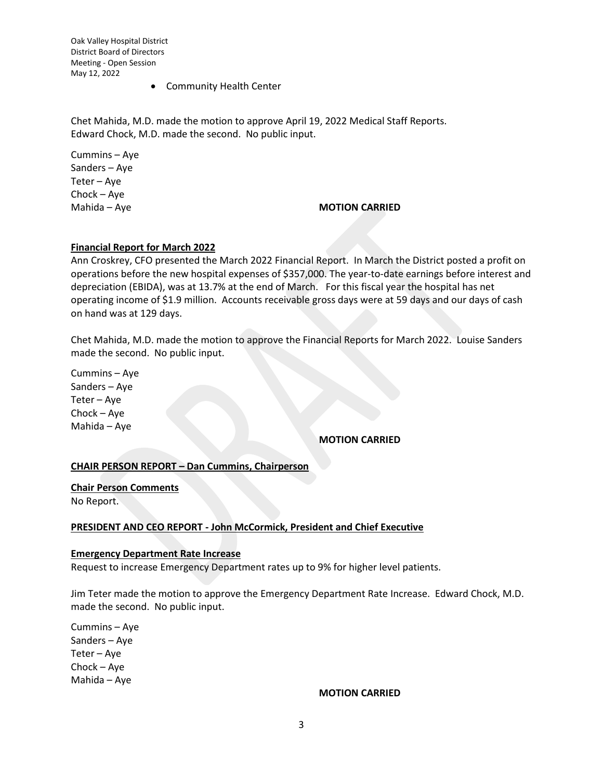• Community Health Center

Chet Mahida, M.D. made the motion to approve April 19, 2022 Medical Staff Reports. Edward Chock, M.D. made the second. No public input.

Cummins – Aye Sanders – Aye Teter – Aye Chock – Aye

## Mahida – Aye **MOTION CARRIED**

## **Financial Report for March 2022**

Ann Croskrey, CFO presented the March 2022 Financial Report. In March the District posted a profit on operations before the new hospital expenses of \$357,000. The year-to-date earnings before interest and depreciation (EBIDA), was at 13.7% at the end of March. For this fiscal year the hospital has net operating income of \$1.9 million. Accounts receivable gross days were at 59 days and our days of cash on hand was at 129 days.

Chet Mahida, M.D. made the motion to approve the Financial Reports for March 2022. Louise Sanders made the second. No public input.

Cummins – Aye Sanders – Aye Teter – Aye Chock – Aye Mahida – Aye

# **MOTION CARRIED**

#### **CHAIR PERSON REPORT – Dan Cummins, Chairperson**

**Chair Person Comments** No Report.

#### **PRESIDENT AND CEO REPORT - John McCormick, President and Chief Executive**

#### **Emergency Department Rate Increase**

Request to increase Emergency Department rates up to 9% for higher level patients.

Jim Teter made the motion to approve the Emergency Department Rate Increase. Edward Chock, M.D. made the second. No public input.

Cummins – Aye Sanders – Aye Teter – Aye Chock – Aye Mahida – Aye

# **MOTION CARRIED**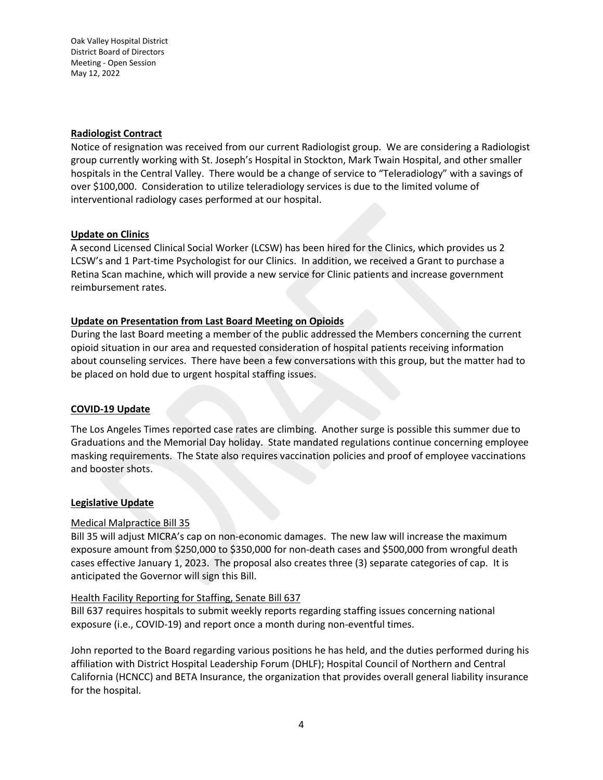## **Radiologist Contract**

Notice of resignation was received from our current Radiologist group. We are considering a Radiologist group currently working with St. Joseph's Hospital in Stockton, Mark Twain Hospital, and other smaller hospitals in the Central Valley. There would be a change of service to "Teleradiology" with a savings of over \$100,000. Consideration to utilize teleradiology services is due to the limited volume of interventional radiology cases performed at our hospital.

## **Update on Clinics**

A second Licensed Clinical Social Worker (LCSW) has been hired for the Clinics, which provides us 2 LCSW's and 1 Part-time Psychologist for our Clinics. In addition, we received a Grant to purchase a Retina Scan machine, which will provide a new service for Clinic patients and increase government reimbursement rates.

# **Update on Presentation from Last Board Meeting on Opioids**

During the last Board meeting a member of the public addressed the Members concerning the current opioid situation in our area and requested consideration of hospital patients receiving information about counseling services. There have been a few conversations with this group, but the matter had to be placed on hold due to urgent hospital staffing issues.

# **COVID-19 Update**

The Los Angeles Times reported case rates are climbing. Another surge is possible this summer due to Graduations and the Memorial Day holiday. State mandated regulations continue concerning employee masking requirements. The State also requires vaccination policies and proof of employee vaccinations and booster shots.

#### **Legislative Update**

# Medical Malpractice Bill 35

Bill 35 will adjust MICRA's cap on non-economic damages. The new law will increase the maximum exposure amount from \$250,000 to \$350,000 for non-death cases and \$500,000 from wrongful death cases effective January 1, 2023. The proposal also creates three (3) separate categories of cap. It is anticipated the Governor will sign this Bill.

#### Health Facility Reporting for Staffing, Senate Bill 637

Bill 637 requires hospitals to submit weekly reports regarding staffing issues concerning national exposure (i.e., COVID-19) and report once a month during non-eventful times.

John reported to the Board regarding various positions he has held, and the duties performed during his affiliation with District Hospital Leadership Forum (DHLF); Hospital Council of Northern and Central California (HCNCC) and BETA Insurance, the organization that provides overall general liability insurance for the hospital.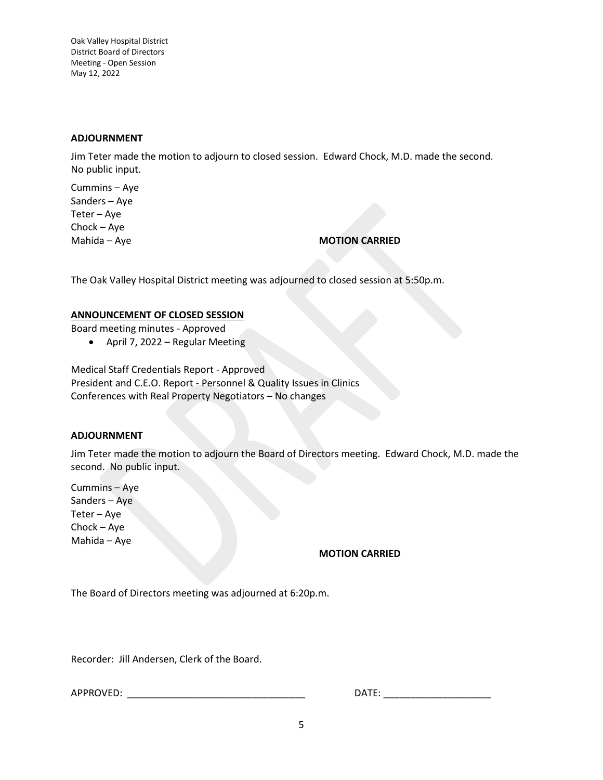# **ADJOURNMENT**

Jim Teter made the motion to adjourn to closed session. Edward Chock, M.D. made the second. No public input.

Cummins – Aye Sanders – Aye Teter – Aye Chock – Aye

Mahida – Aye **MOTION CARRIED** 

The Oak Valley Hospital District meeting was adjourned to closed session at 5:50p.m.

## **ANNOUNCEMENT OF CLOSED SESSION**

Board meeting minutes - Approved

• April 7, 2022 – Regular Meeting

Medical Staff Credentials Report - Approved President and C.E.O. Report - Personnel & Quality Issues in Clinics Conferences with Real Property Negotiators – No changes

#### **ADJOURNMENT**

Jim Teter made the motion to adjourn the Board of Directors meeting. Edward Chock, M.D. made the second. No public input.

Cummins – Aye Sanders – Aye Teter – Aye Chock – Aye Mahida – Aye

# **MOTION CARRIED**

The Board of Directors meeting was adjourned at 6:20p.m.

Recorder: Jill Andersen, Clerk of the Board.

APPROVED: \_\_\_\_\_\_\_\_\_\_\_\_\_\_\_\_\_\_\_\_\_\_\_\_\_\_\_\_\_\_\_\_\_ DATE: \_\_\_\_\_\_\_\_\_\_\_\_\_\_\_\_\_\_\_\_